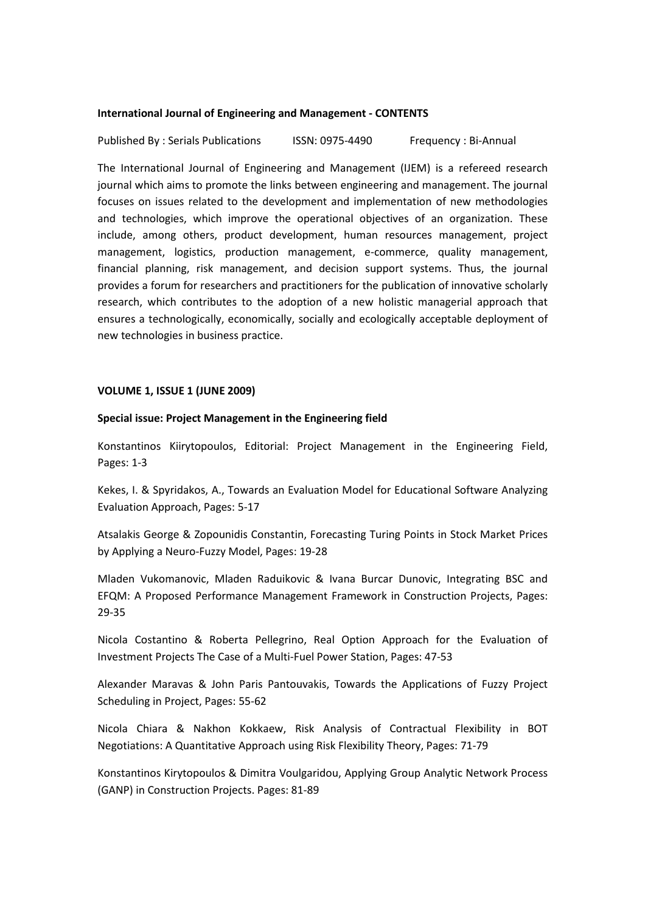#### **International Journal of Engineering and Management - CONTENTS**

Published By : Serials Publications ISSN: 0975-4490 Frequency : Bi-Annual

The International Journal of Engineering and Management (IJEM) is a refereed research journal which aims to promote the links between engineering and management. The journal focuses on issues related to the development and implementation of new methodologies and technologies, which improve the operational objectives of an organization. These include, among others, product development, human resources management, project management, logistics, production management, e-commerce, quality management, financial planning, risk management, and decision support systems. Thus, the journal provides a forum for researchers and practitioners for the publication of innovative scholarly research, which contributes to the adoption of a new holistic managerial approach that ensures a technologically, economically, socially and ecologically acceptable deployment of new technologies in business practice.

### **VOLUME 1, ISSUE 1 (JUNE 2009)**

### **Special issue: Project Management in the Engineering field**

Konstantinos Kiirytopoulos, Editorial: Project Management in the Engineering Field, Pages: 1-3

Kekes, I. & Spyridakos, A., Towards an Evaluation Model for Educational Software Analyzing Evaluation Approach, Pages: 5-17

Atsalakis George & Zopounidis Constantin, Forecasting Turing Points in Stock Market Prices by Applying a Neuro-Fuzzy Model, Pages: 19-28

Mladen Vukomanovic, Mladen Raduikovic & Ivana Burcar Dunovic, Integrating BSC and EFQM: A Proposed Performance Management Framework in Construction Projects, Pages: 29-35

Nicola Costantino & Roberta Pellegrino, Real Option Approach for the Evaluation of Investment Projects The Case of a Multi-Fuel Power Station, Pages: 47-53

Alexander Maravas & John Paris Pantouvakis, Towards the Applications of Fuzzy Project Scheduling in Project, Pages: 55-62

Nicola Chiara & Nakhon Kokkaew, Risk Analysis of Contractual Flexibility in BOT Negotiations: A Quantitative Approach using Risk Flexibility Theory, Pages: 71-79

Konstantinos Kirytopoulos & Dimitra Voulgaridou, Applying Group Analytic Network Process (GANP) in Construction Projects. Pages: 81-89